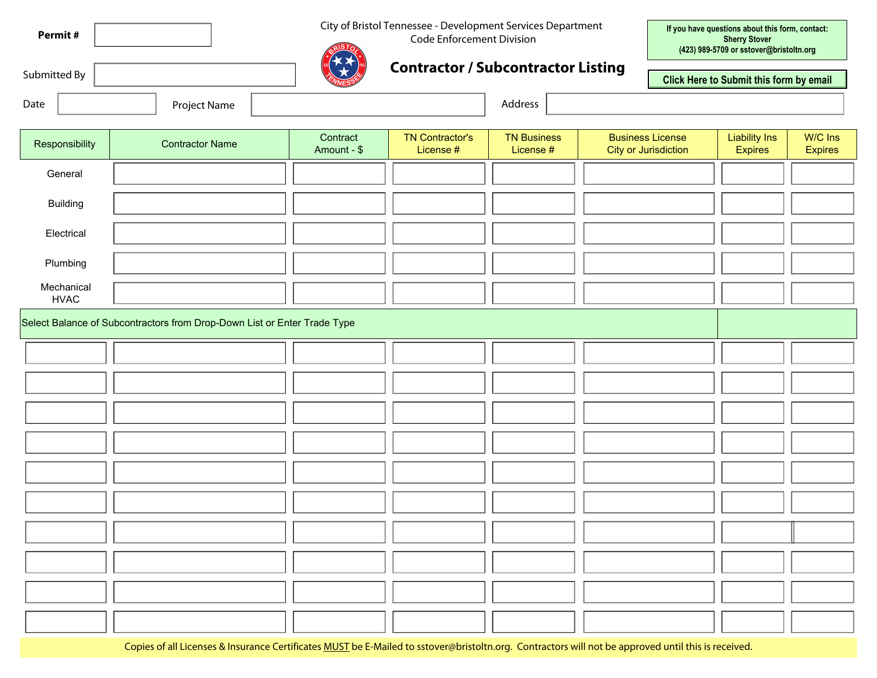| Permit#      |  |
|--------------|--|
|              |  |
| Submitted By |  |

City of Bristol Tennessee - Development Services Department

Code Enforcement Division

**If you have questions about this form, contact: Sherry Stover (423) 989-5709 or sstover@bristoltn.org**



## **Contractor / Subcontractor Listing**

**Click Here to Submit this form by email**

| Date<br><b>Project Name</b> | Address |
|-----------------------------|---------|
|-----------------------------|---------|

| dres: |  |
|-------|--|
|-------|--|

| Responsibility                            | <b>Contractor Name</b>                                                   | Contract<br>Amount - \$ | <b>TN Contractor's</b><br>License # | <b>TN Business</b><br>License # | <b>Business License</b><br><b>City or Jurisdiction</b> | <b>Liability Ins</b><br>Expires | W/C Ins<br>Expires |
|-------------------------------------------|--------------------------------------------------------------------------|-------------------------|-------------------------------------|---------------------------------|--------------------------------------------------------|---------------------------------|--------------------|
| General                                   |                                                                          |                         |                                     |                                 | $\overline{\phantom{a}}$                               |                                 |                    |
| <b>Building</b>                           |                                                                          |                         |                                     |                                 | $\left  \rule{0pt}{10pt} \right.$                      |                                 |                    |
| Electrical                                |                                                                          |                         |                                     |                                 | $\blacktriangledown$                                   |                                 |                    |
| Plumbing                                  |                                                                          |                         |                                     |                                 | $\blacktriangledown$                                   |                                 |                    |
| Mechanical<br><b>HVAC</b>                 |                                                                          |                         |                                     |                                 | $\left  \rule{0pt}{10pt} \right.$                      |                                 |                    |
|                                           | Select Balance of Subcontractors from Drop-Down List or Enter Trade Type |                         |                                     |                                 |                                                        |                                 |                    |
| $\overline{\phantom{a}}$                  |                                                                          |                         |                                     |                                 | $\left  \rule{0pt}{10pt} \right.$                      |                                 |                    |
| $\left  \rule{0pt}{10pt} \right.$         |                                                                          |                         |                                     |                                 | $\blacktriangledown$                                   |                                 |                    |
| $\left  \cdot \right $                    |                                                                          |                         |                                     |                                 | $\blacktriangledown$                                   |                                 |                    |
| $\left  \rule{0pt}{10pt} \right. \right $ |                                                                          |                         |                                     |                                 | $\vert \textcolor{red}{\textbf{I}} \vert$              |                                 |                    |
| $\left  \rule{0pt}{10pt} \right.$         |                                                                          |                         |                                     |                                 | $\left  \cdot \right $                                 |                                 |                    |
| $\left  \rule{0pt}{10pt} \right.$         |                                                                          |                         |                                     |                                 | $\blacktriangledown$                                   |                                 |                    |
| $\left  \rule{0pt}{10pt} \right. \right $ |                                                                          |                         |                                     |                                 | $\blacktriangledown$                                   |                                 |                    |
| $\blacktriangledown$                      |                                                                          |                         |                                     |                                 | $\blacktriangledown$                                   |                                 |                    |
| $\left  \bullet \right $                  |                                                                          |                         |                                     |                                 | $\left  \rule{0pt}{10pt} \right.$                      |                                 |                    |
| $\vert \textcolor{red}{\textbf{I}} \vert$ |                                                                          |                         |                                     |                                 | $\left  \cdot \right $                                 |                                 |                    |

Copies of all Licenses & Insurance Certificates MUST be E-Mailed to sstover@bristoltn.org. Contractors will not be approved until this is received.